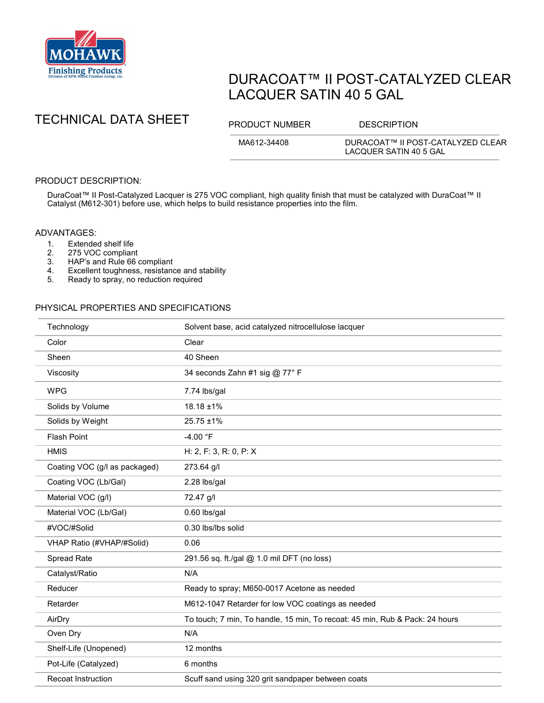

# DURACOAT™ II POST-CATALYZED CLEAR LACQUER SATIN 40 5 GAL

## TECHNICAL DATA SHEET PRODUCT NUMBER DESCRIPTION

MA612-34408 DURACOAT™ II POST-CATALYZED CLEAR LACQUER SATIN 40 5 GAL

## PRODUCT DESCRIPTION:

DuraCoat™ II Post-Catalyzed Lacquer is 275 VOC compliant, high quality finish that must be catalyzed with DuraCoat™ II Catalyst (M612-301) before use, which helps to build resistance properties into the film.

#### ADVANTAGES:

- 
- 1. Extended shelf life<br>2. 275 VOC complian
- 2. 275 VOC compliant<br>3. HAP's and Rule 66 3. HAP's and Rule 66 compliant<br>4. Excellent toughness, resistand
- 4. Excellent toughness, resistance and stability<br>5. Ready to spray, no reduction required
- Ready to spray, no reduction required

### PHYSICAL PROPERTIES AND SPECIFICATIONS

| Technology                    | Solvent base, acid catalyzed nitrocellulose lacquer                         |
|-------------------------------|-----------------------------------------------------------------------------|
| Color                         | Clear                                                                       |
| Sheen                         | 40 Sheen                                                                    |
| Viscosity                     | 34 seconds Zahn #1 sig @ 77° F                                              |
| <b>WPG</b>                    | 7.74 lbs/gal                                                                |
| Solids by Volume              | 18.18 ±1%                                                                   |
| Solids by Weight              | 25.75 ±1%                                                                   |
| <b>Flash Point</b>            | $-4.00 °F$                                                                  |
| <b>HMIS</b>                   | H: 2, F: 3, R: 0, P: X                                                      |
| Coating VOC (g/l as packaged) | 273.64 g/l                                                                  |
| Coating VOC (Lb/Gal)          | 2.28 lbs/gal                                                                |
| Material VOC (g/l)            | 72.47 g/l                                                                   |
| Material VOC (Lb/Gal)         | 0.60 lbs/gal                                                                |
| #VOC/#Solid                   | 0.30 lbs/lbs solid                                                          |
| VHAP Ratio (#VHAP/#Solid)     | 0.06                                                                        |
| Spread Rate                   | 291.56 sq. ft./gal @ 1.0 mil DFT (no loss)                                  |
| Catalyst/Ratio                | N/A                                                                         |
| Reducer                       | Ready to spray; M650-0017 Acetone as needed                                 |
| Retarder                      | M612-1047 Retarder for low VOC coatings as needed                           |
| AirDry                        | To touch; 7 min, To handle, 15 min, To recoat: 45 min, Rub & Pack: 24 hours |
| Oven Dry                      | N/A                                                                         |
| Shelf-Life (Unopened)         | 12 months                                                                   |
| Pot-Life (Catalyzed)          | 6 months                                                                    |
| <b>Recoat Instruction</b>     | Scuff sand using 320 grit sandpaper between coats                           |